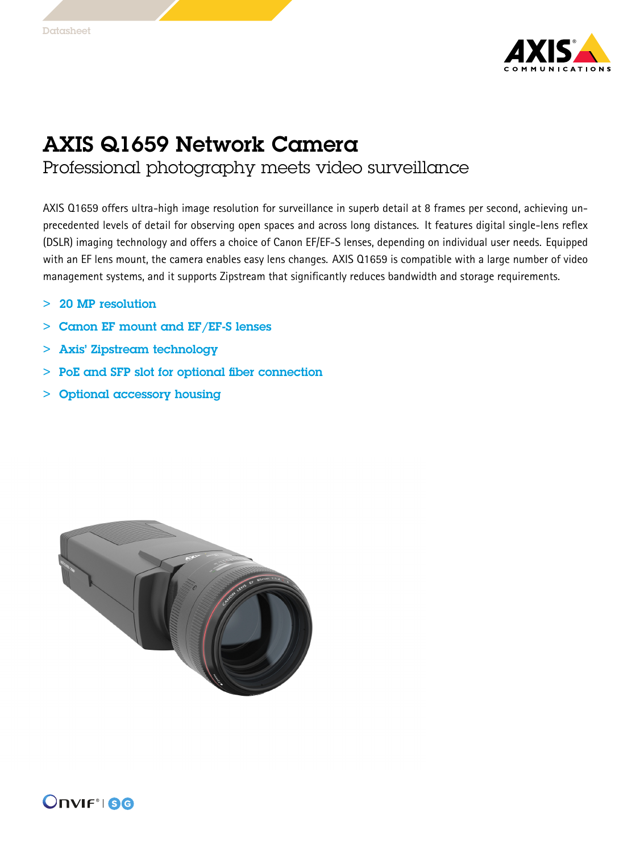

## AXIS Q1659 Network Camera

## Professional photography meets video surveillance

AXIS Q1659 offers ultra-high image resolution for surveillance in superb detail at 8 frames per second, achieving unprecedented levels of detail for observing open spaces and across long distances. It features digital single-lens reflex (DSLR) imaging technology and offers <sup>a</sup> choice of Canon EF/EF-S lenses, depending on individual user needs. Equipped with an EF lens mount, the camera enables easy lens changes. AXIS Q1659 is compatible with <sup>a</sup> large number of video management systems, and it supports Zipstream that significantly reduces bandwidth and storage requirements.

- >20 MP resolution
- > Canon EF mount and EF/EF-S lenses
- > Axis' Zipstream technology
- > PoE and SFP slot for optional fiber connection
- > Optional accessory housing